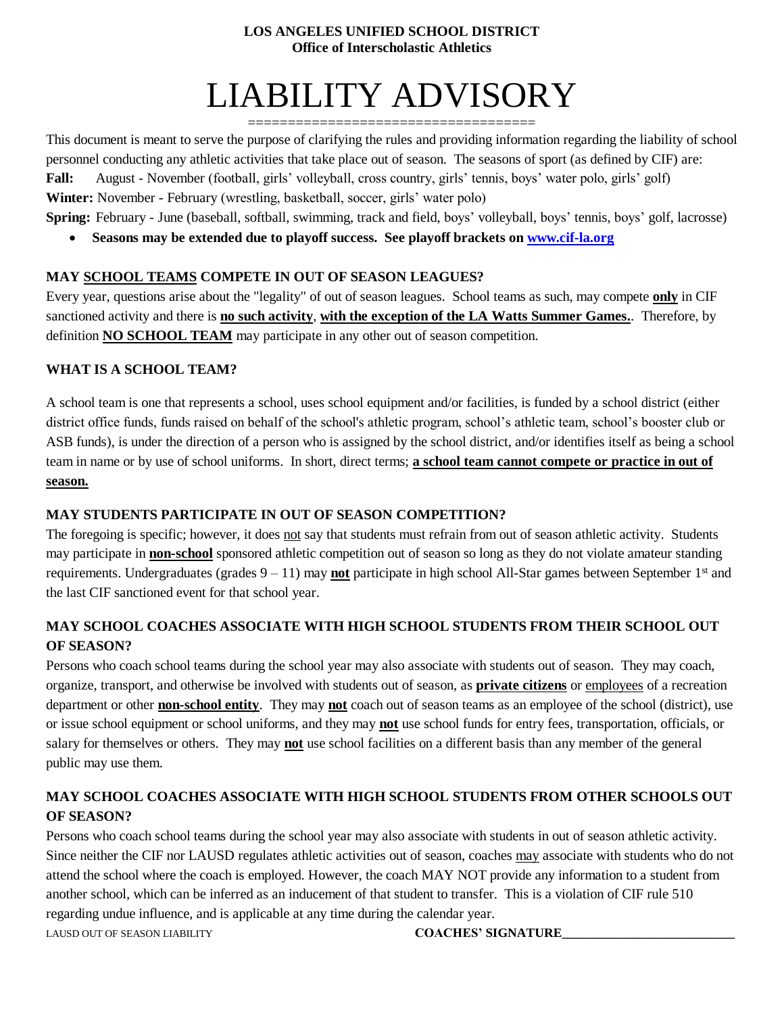#### **LOS ANGELES UNIFIED SCHOOL DISTRICT Office of Interscholastic Athletics**

# LIABILITY ADVISORY

==================================== This document is meant to serve the purpose of clarifying the rules and providing information regarding the liability of school personnel conducting any athletic activities that take place out of season. The seasons of sport (as defined by CIF) are: **Fall:** August - November (football, girls' volleyball, cross country, girls' tennis, boys' water polo, girls' golf) **Winter:** November - February (wrestling, basketball, soccer, girls' water polo)

**Spring:** February - June (baseball, softball, swimming, track and field, boys' volleyball, boys' tennis, boys' golf, lacrosse)

• **Seasons may be extended due to playoff success. See playoff brackets on [www.cif-la.org](http://www.cif-la.org/)**

## **MAY SCHOOL TEAMS COMPETE IN OUT OF SEASON LEAGUES?**

Every year, questions arise about the "legality" of out of season leagues. School teams as such, may compete **only** in CIF sanctioned activity and there is **no such activity**, **with the exception of the LA Watts Summer Games.**. Therefore, by definition **NO SCHOOL TEAM** may participate in any other out of season competition.

## **WHAT IS A SCHOOL TEAM?**

A school team is one that represents a school, uses school equipment and/or facilities, is funded by a school district (either district office funds, funds raised on behalf of the school's athletic program, school's athletic team, school's booster club or ASB funds), is under the direction of a person who is assigned by the school district, and/or identifies itself as being a school team in name or by use of school uniforms. In short, direct terms; **a school team cannot compete or practice in out of season.**

# **MAY STUDENTS PARTICIPATE IN OUT OF SEASON COMPETITION?**

The foregoing is specific; however, it does not say that students must refrain from out of season athletic activity. Students may participate in **non-school** sponsored athletic competition out of season so long as they do not violate amateur standing requirements. Undergraduates (grades  $9 - 11$ ) may **not** participate in high school All-Star games between September 1<sup>st</sup> and the last CIF sanctioned event for that school year.

# **MAY SCHOOL COACHES ASSOCIATE WITH HIGH SCHOOL STUDENTS FROM THEIR SCHOOL OUT OF SEASON?**

Persons who coach school teams during the school year may also associate with students out of season. They may coach, organize, transport, and otherwise be involved with students out of season, as **private citizens** or employees of a recreation department or other **non-school entity**. They may **not** coach out of season teams as an employee of the school (district), use or issue school equipment or school uniforms, and they may **not** use school funds for entry fees, transportation, officials, or salary for themselves or others. They may **not** use school facilities on a different basis than any member of the general public may use them.

# **MAY SCHOOL COACHES ASSOCIATE WITH HIGH SCHOOL STUDENTS FROM OTHER SCHOOLS OUT OF SEASON?**

Persons who coach school teams during the school year may also associate with students in out of season athletic activity. Since neither the CIF nor LAUSD regulates athletic activities out of season, coaches may associate with students who do not attend the school where the coach is employed. However, the coach MAY NOT provide any information to a student from another school, which can be inferred as an inducement of that student to transfer. This is a violation of CIF rule 510 regarding undue influence, and is applicable at any time during the calendar year. LAUSD OUT OF SEASON LIABILITY **COACHES' SIGNATURE\_\_\_\_\_\_\_\_\_\_\_\_\_\_\_\_\_\_\_\_\_\_\_\_\_\_\_**